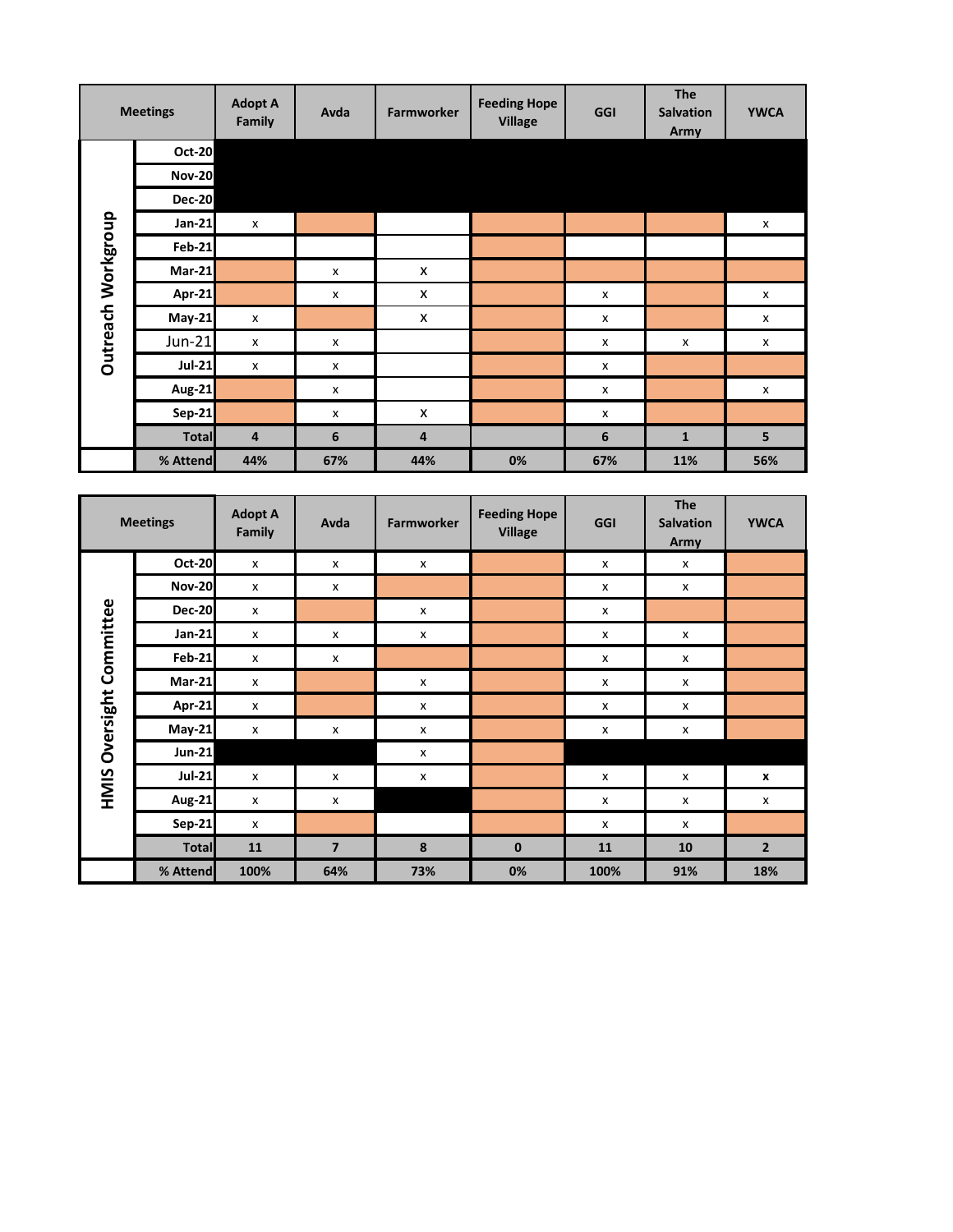|                    | <b>Meetings</b> | <b>Adopt A</b><br><b>Family</b> | Avda                      | <b>Farmworker</b> | <b>Feeding Hope</b><br><b>Village</b> | <b>GGI</b> | <b>The</b><br><b>Salvation</b><br>Army | <b>YWCA</b> |
|--------------------|-----------------|---------------------------------|---------------------------|-------------------|---------------------------------------|------------|----------------------------------------|-------------|
|                    | <b>Oct-20</b>   |                                 |                           |                   |                                       |            |                                        |             |
|                    | <b>Nov-20</b>   |                                 |                           |                   |                                       |            |                                        |             |
|                    | <b>Dec-20</b>   |                                 |                           |                   |                                       |            |                                        |             |
|                    | $Jan-21$        | x                               |                           |                   |                                       |            |                                        | x           |
| Outreach Workgroup | <b>Feb-21</b>   |                                 |                           |                   |                                       |            |                                        |             |
|                    | <b>Mar-21</b>   |                                 | $\boldsymbol{\mathsf{x}}$ | X                 |                                       |            |                                        |             |
|                    | Apr-21          |                                 | x                         | X                 |                                       | x          |                                        | x           |
|                    | <b>May-21</b>   | X                               |                           | X                 |                                       | x          |                                        | X           |
|                    | $Jun-21$        | x                               | X                         |                   |                                       | x          | X                                      | X           |
|                    | <b>Jul-21</b>   | X                               | X                         |                   |                                       | x          |                                        |             |
|                    | <b>Aug-21</b>   |                                 | x                         |                   |                                       | x          |                                        | X           |
|                    | <b>Sep-21</b>   |                                 | x                         | X                 |                                       | x          |                                        |             |
|                    | <b>Total</b>    | 4                               | 6                         | 4                 |                                       | 6          | $\mathbf{1}$                           | 5           |
|                    | % Attend        | 44%                             | 67%                       | 44%               | 0%                                    | 67%        | 11%                                    | 56%         |

|                          | <b>Meetings</b> | <b>Adopt A</b><br>Family | Avda           | <b>Farmworker</b>  | <b>Feeding Hope</b><br><b>Village</b> | GGI  | <b>The</b><br><b>Salvation</b><br>Army | <b>YWCA</b>    |
|--------------------------|-----------------|--------------------------|----------------|--------------------|---------------------------------------|------|----------------------------------------|----------------|
|                          | <b>Oct-20</b>   | $\pmb{\times}$           | X              | X                  |                                       | X    | X                                      |                |
|                          | <b>Nov-20</b>   | X                        | X              |                    |                                       | x    | x                                      |                |
|                          | <b>Dec-20</b>   | X                        |                | X                  |                                       | x    |                                        |                |
| HMIS Oversight Committee | Jan-21          | X                        | X              | X                  |                                       | x    | X                                      |                |
|                          | <b>Feb-21</b>   | X                        | X              |                    |                                       | x    | X                                      |                |
|                          | $Mar-21$        | X                        |                | X                  |                                       | x    | X                                      |                |
|                          | Apr-21          | x                        |                | $\pmb{\mathsf{x}}$ |                                       | x    | x                                      |                |
|                          | <b>May-21</b>   | X                        | X              | X                  |                                       | x    | X                                      |                |
|                          | <b>Jun-21</b>   |                          |                | X                  |                                       |      |                                        |                |
|                          | <b>Jul-21</b>   | X                        | X              | X                  |                                       | x    | X                                      | X              |
|                          | Aug-21          | X                        | X              |                    |                                       | x    | X                                      | X              |
|                          | <b>Sep-21</b>   | X                        |                |                    |                                       | x    | X                                      |                |
|                          | <b>Total</b>    | 11                       | $\overline{7}$ | 8                  | $\mathbf 0$                           | 11   | 10                                     | $\overline{2}$ |
|                          | % Attend        | 100%                     | 64%            | 73%                | 0%                                    | 100% | 91%                                    | 18%            |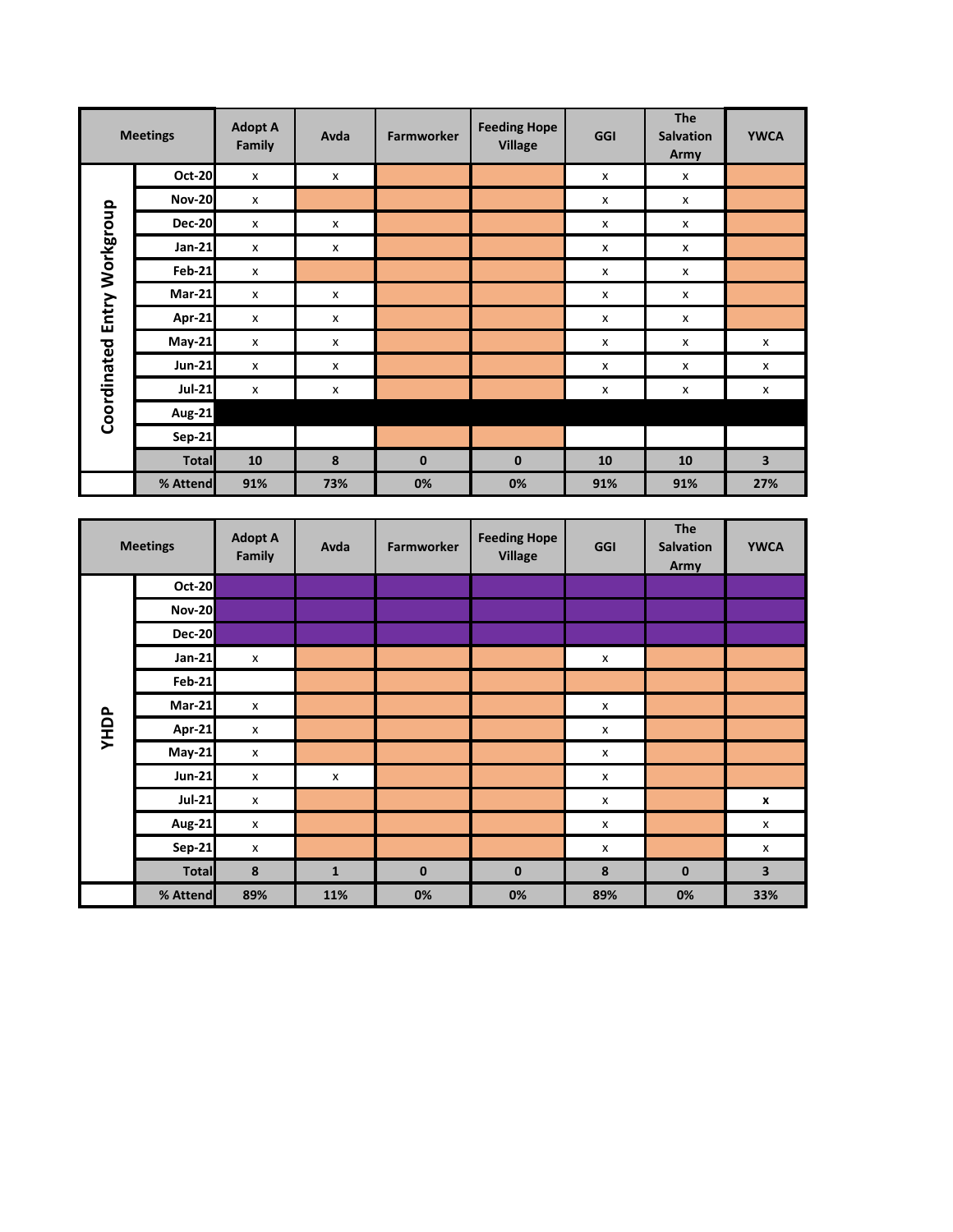|                 | <b>Meetings</b> | <b>Adopt A</b><br>Family | Avda           | <b>Farmworker</b> | <b>Feeding Hope</b><br><b>Village</b> | GGI                       | <b>The</b><br><b>Salvation</b><br>Army | <b>YWCA</b>    |
|-----------------|-----------------|--------------------------|----------------|-------------------|---------------------------------------|---------------------------|----------------------------------------|----------------|
|                 | <b>Oct-20</b>   | X                        | x              |                   |                                       | $\mathsf{x}$              | X                                      |                |
|                 | <b>Nov-20</b>   | x                        |                |                   |                                       | $\mathsf{x}$              | $\pmb{\times}$                         |                |
| Entry Workgroup | <b>Dec-20</b>   | x                        | x              |                   |                                       | x                         | x                                      |                |
|                 | Jan-21          | x                        | X              |                   |                                       | X                         | X                                      |                |
|                 | <b>Feb-21</b>   | X                        |                |                   |                                       | $\boldsymbol{\mathsf{x}}$ | $\boldsymbol{\mathsf{x}}$              |                |
|                 | $Mar-21$        | x                        | $\pmb{\times}$ |                   |                                       | x                         | X                                      |                |
|                 | Apr-21          | x                        | X              |                   |                                       | X                         | X                                      |                |
|                 | $May-21$        | x                        | X              |                   |                                       | x                         | X                                      | X              |
|                 | <b>Jun-21</b>   | $\pmb{\times}$           | X              |                   |                                       | X                         | $\pmb{\times}$                         | X              |
|                 | <b>Jul-21</b>   | x                        | $\pmb{\times}$ |                   |                                       | x                         | X                                      | $\pmb{\times}$ |
| Coordinated     | <b>Aug-21</b>   |                          |                |                   |                                       |                           |                                        |                |
|                 | <b>Sep-21</b>   |                          |                |                   |                                       |                           |                                        |                |
|                 | <b>Total</b>    | 10                       | 8              | $\mathbf{0}$      | $\bf{0}$                              | 10                        | 10                                     | 3              |
|                 | % Attend        | 91%                      | 73%            | 0%                | 0%                                    | 91%                       | 91%                                    | 27%            |

|      | <b>Meetings</b> | <b>Adopt A</b><br>Family | Avda         | <b>Farmworker</b> | <b>Feeding Hope</b><br><b>Village</b> | GGI            | <b>The</b><br><b>Salvation</b><br>Army | <b>YWCA</b>  |
|------|-----------------|--------------------------|--------------|-------------------|---------------------------------------|----------------|----------------------------------------|--------------|
|      | <b>Oct-20</b>   |                          |              |                   |                                       |                |                                        |              |
|      | <b>Nov-20</b>   |                          |              |                   |                                       |                |                                        |              |
|      | <b>Dec-20</b>   |                          |              |                   |                                       |                |                                        |              |
|      | Jan-21          | $\pmb{\times}$           |              |                   |                                       | $\pmb{\times}$ |                                        |              |
|      | <b>Feb-21</b>   |                          |              |                   |                                       |                |                                        |              |
|      | <b>Mar-21</b>   | X                        |              |                   |                                       | X              |                                        |              |
| YHDP | Apr-21          | x                        |              |                   |                                       | X              |                                        |              |
|      | <b>May-21</b>   | $\pmb{\times}$           |              |                   |                                       | X              |                                        |              |
|      | <b>Jun-21</b>   | X                        | x            |                   |                                       | X              |                                        |              |
|      | <b>Jul-21</b>   | x                        |              |                   |                                       | X              |                                        | $\pmb{\chi}$ |
|      | <b>Aug-21</b>   | X                        |              |                   |                                       | X              |                                        | X            |
|      | <b>Sep-21</b>   | x                        |              |                   |                                       | x              |                                        | X            |
|      | <b>Total</b>    | 8                        | $\mathbf{1}$ | $\mathbf 0$       | $\bf{0}$                              | $\pmb{8}$      | $\mathbf 0$                            | 3            |
|      | % Attend        | 89%                      | 11%          | 0%                | 0%                                    | 89%            | 0%                                     | 33%          |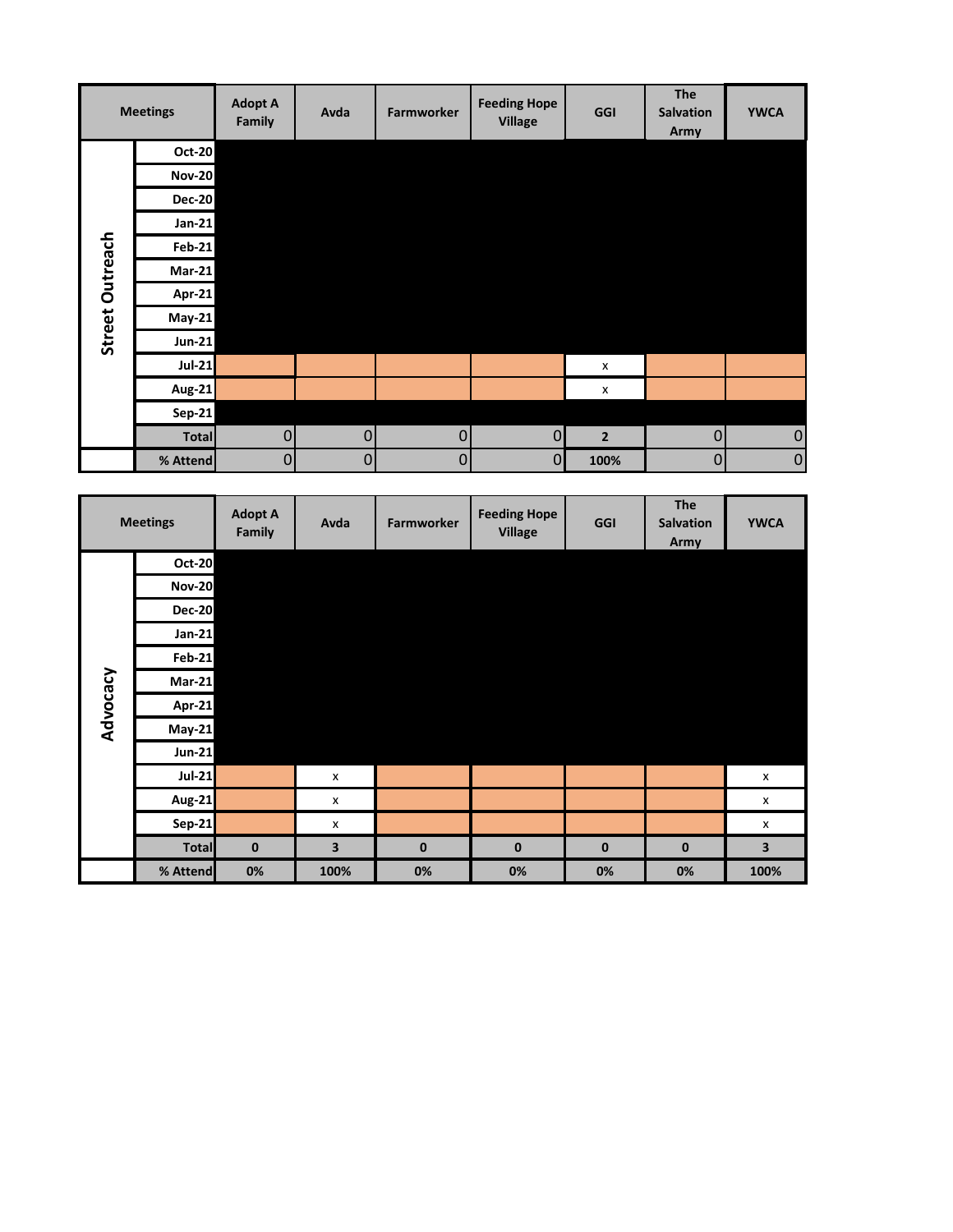|                 | <b>Meetings</b> | <b>Adopt A</b><br><b>Family</b> | Avda           | Farmworker  | <b>Feeding Hope</b><br><b>Village</b> | GGI         | <b>The</b><br><b>Salvation</b><br>Army | <b>YWCA</b> |
|-----------------|-----------------|---------------------------------|----------------|-------------|---------------------------------------|-------------|----------------------------------------|-------------|
|                 | Oct-20          |                                 |                |             |                                       |             |                                        |             |
|                 | <b>Nov-20</b>   |                                 |                |             |                                       |             |                                        |             |
|                 | <b>Dec-20</b>   |                                 |                |             |                                       |             |                                        |             |
|                 | $Jan-21$        |                                 |                |             |                                       |             |                                        |             |
|                 | <b>Feb-21</b>   |                                 |                |             |                                       |             |                                        |             |
|                 | $Mar-21$        |                                 |                |             |                                       |             |                                        |             |
|                 | Apr-21          |                                 |                |             |                                       |             |                                        |             |
| Street Outreach | $May-21$        |                                 |                |             |                                       |             |                                        |             |
|                 | $Jun-21$        |                                 |                |             |                                       |             |                                        |             |
|                 | $Jul-21$        |                                 |                |             |                                       | X           |                                        |             |
|                 | Aug-21          |                                 |                |             |                                       | X           |                                        |             |
|                 | Sep-21          |                                 |                |             |                                       |             |                                        |             |
|                 | <b>Total</b>    | $\mathbf 0$                     | $\mathbf 0$    | $\mathbf 0$ | $\overline{0}$                        | $\mathbf 2$ | $\overline{0}$                         | $\pmb{0}$   |
|                 | % Attend        | $\overline{0}$                  | $\overline{0}$ | $\pmb{0}$   | $\overline{0}$                        | 100%        | $\overline{0}$                         | $\pmb{0}$   |

|          | <b>Meetings</b> | <b>Adopt A</b><br><b>Family</b> | Avda               | <b>Farmworker</b> | <b>Feeding Hope</b><br><b>Village</b> | GGI      | <b>The</b><br><b>Salvation</b><br>Army | <b>YWCA</b>    |
|----------|-----------------|---------------------------------|--------------------|-------------------|---------------------------------------|----------|----------------------------------------|----------------|
|          | <b>Oct-20</b>   |                                 |                    |                   |                                       |          |                                        |                |
|          | <b>Nov-20</b>   |                                 |                    |                   |                                       |          |                                        |                |
|          | <b>Dec-20</b>   |                                 |                    |                   |                                       |          |                                        |                |
|          | <b>Jan-21</b>   |                                 |                    |                   |                                       |          |                                        |                |
|          | <b>Feb-21</b>   |                                 |                    |                   |                                       |          |                                        |                |
| Advocacy | $Mar-21$        |                                 |                    |                   |                                       |          |                                        |                |
|          | Apr-21          |                                 |                    |                   |                                       |          |                                        |                |
|          | <b>May-21</b>   |                                 |                    |                   |                                       |          |                                        |                |
|          | <b>Jun-21</b>   |                                 |                    |                   |                                       |          |                                        |                |
|          | <b>Jul-21</b>   |                                 | $\pmb{\mathsf{x}}$ |                   |                                       |          |                                        | $\pmb{\times}$ |
|          | <b>Aug-21</b>   |                                 | X                  |                   |                                       |          |                                        | X              |
|          | <b>Sep-21</b>   |                                 | x                  |                   |                                       |          |                                        | x              |
|          | <b>Total</b>    | $\bf{0}$                        | 3                  | $\mathbf 0$       | $\bf{0}$                              | $\bf{0}$ | $\mathbf 0$                            | 3              |
|          | % Attend        | 0%                              | 100%               | 0%                | 0%                                    | 0%       | 0%                                     | 100%           |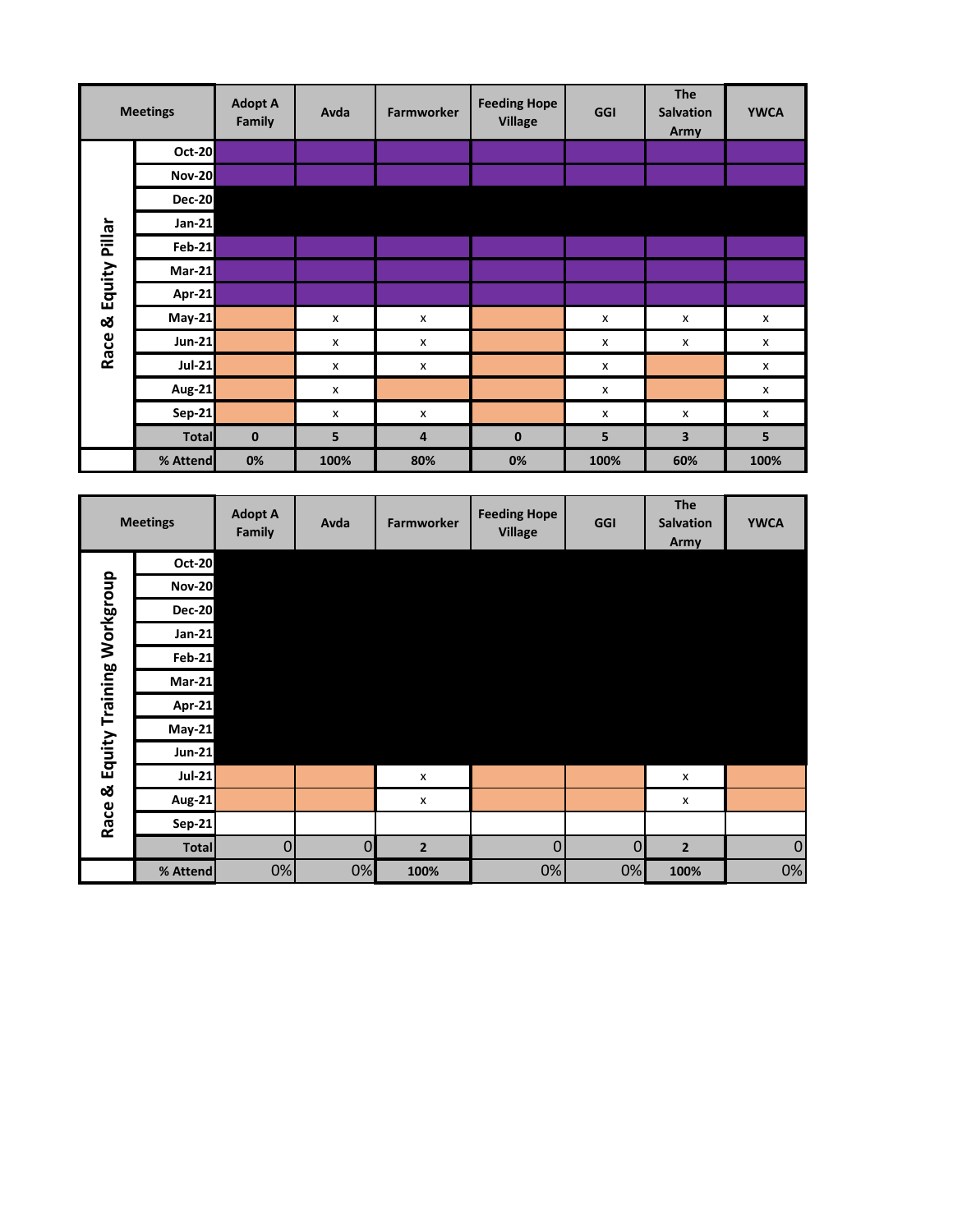|               | <b>Meetings</b> | <b>Adopt A</b><br>Family | Avda | <b>Farmworker</b>  | <b>Feeding Hope</b><br><b>Village</b> | GGI  | <b>The</b><br><b>Salvation</b><br>Army | <b>YWCA</b> |
|---------------|-----------------|--------------------------|------|--------------------|---------------------------------------|------|----------------------------------------|-------------|
|               | <b>Oct-20</b>   |                          |      |                    |                                       |      |                                        |             |
|               | <b>Nov-20</b>   |                          |      |                    |                                       |      |                                        |             |
|               | <b>Dec-20</b>   |                          |      |                    |                                       |      |                                        |             |
|               | <b>Jan-21</b>   |                          |      |                    |                                       |      |                                        |             |
| Equity Pillar | $Feb-21$        |                          |      |                    |                                       |      |                                        |             |
|               | $Mar-21$        |                          |      |                    |                                       |      |                                        |             |
|               | Apr-21          |                          |      |                    |                                       |      |                                        |             |
| ಳ             | <b>May-21</b>   |                          | X    | $\pmb{\mathsf{x}}$ |                                       | x    | X                                      | x           |
| Race          | <b>Jun-21</b>   |                          | x    | x                  |                                       | x    | X                                      | X           |
|               | <b>Jul-21</b>   |                          | X    | X                  |                                       | x    |                                        | X           |
|               | <b>Aug-21</b>   |                          | X    |                    |                                       | X    |                                        | x           |
|               | Sep-21          |                          | x    | $\pmb{\times}$     |                                       | x    | X                                      | x           |
|               | <b>Total</b>    | $\bf{0}$                 | 5    | 4                  | $\bf{0}$                              | 5    | 3                                      | 5           |
|               | % Attend        | 0%                       | 100% | 80%                | 0%                                    | 100% | 60%                                    | 100%        |

|                           | <b>Meetings</b> | <b>Adopt A</b><br>Family | Avda        | <b>Farmworker</b> | <b>Feeding Hope</b><br><b>Village</b> | GGI            | <b>The</b><br><b>Salvation</b><br>Army | <b>YWCA</b>    |
|---------------------------|-----------------|--------------------------|-------------|-------------------|---------------------------------------|----------------|----------------------------------------|----------------|
|                           | <b>Oct-20</b>   |                          |             |                   |                                       |                |                                        |                |
|                           | <b>Nov-20</b>   |                          |             |                   |                                       |                |                                        |                |
|                           | <b>Dec-20</b>   |                          |             |                   |                                       |                |                                        |                |
| Equity Training Workgroup | <b>Jan-21</b>   |                          |             |                   |                                       |                |                                        |                |
|                           | <b>Feb-21</b>   |                          |             |                   |                                       |                |                                        |                |
|                           | <b>Mar-21</b>   |                          |             |                   |                                       |                |                                        |                |
|                           | Apr-21          |                          |             |                   |                                       |                |                                        |                |
|                           | <b>May-21</b>   |                          |             |                   |                                       |                |                                        |                |
|                           | <b>Jun-21</b>   |                          |             |                   |                                       |                |                                        |                |
|                           | <b>Jul-21</b>   |                          |             | X                 |                                       |                | $\pmb{\times}$                         |                |
| ळ<br>Race                 | Aug-21          |                          |             | X                 |                                       |                | X                                      |                |
|                           | $Sep-21$        |                          |             |                   |                                       |                |                                        |                |
|                           | <b>Total</b>    | 0                        | $\mathbf 0$ | $\overline{2}$    | 0                                     | $\overline{0}$ | $\overline{2}$                         | $\overline{0}$ |
|                           | % Attend        | 0%                       | 0%          | 100%              | 0%                                    | 0%             | 100%                                   | 0%             |